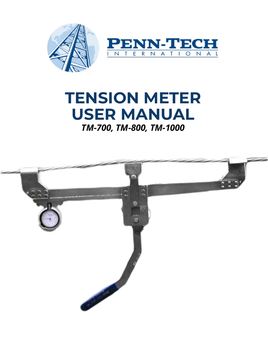

# **TENSION METER USER MANUAL** *TM-700, TM-800, TM-1000*

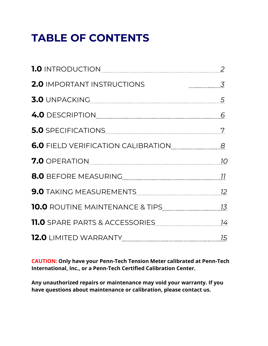# **TABLE OF CONTENTS**

| <b>2.0 IMPORTANT INSTRUCTIONS</b><br>$\overline{3}$                                                           |  |
|---------------------------------------------------------------------------------------------------------------|--|
|                                                                                                               |  |
|                                                                                                               |  |
|                                                                                                               |  |
| 6.0 FIELD VERIFICATION CALIBRATION CONDITION RELATION                                                         |  |
|                                                                                                               |  |
| 8.0 BEFORE MEASURING 11 1 22 22 23 24 25 26 27 27 28 29 20 21 22 23 24 25 26 27 27 28 29 20 21 22 22 23 24 25 |  |
| 9.0 TAKING MEASUREMENTS 22 22                                                                                 |  |
|                                                                                                               |  |
|                                                                                                               |  |
|                                                                                                               |  |

**CAUTION: Only have your Penn-Tech Tension Meter calibrated at Penn-Tech International, Inc., or a Penn-Tech Certified Calibration Center.** 

**Any unauthorized repairs or maintenance may void your warranty. If you have questions about maintenance or calibration, please contact us.**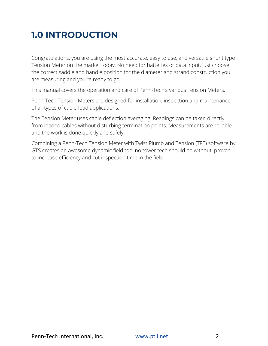# **1.0 INTRODUCTION**

Congratulations, you are using the most accurate, easy to use, and versatile shunt type Tension Meter on the market today. No need for batteries or data input, just choose the correct saddle and handle position for the diameter and strand construction you are measuring and you're ready to go.

This manual covers the operation and care of Penn-Tech's various Tension Meters.

Penn-Tech Tension Meters are designed for installation, inspection and maintenance of all types of cable-load applications.

The Tension Meter uses cable deflection averaging. Readings can be taken directly from loaded cables without disturbing termination points. Measurements are reliable and the work is done quickly and safely.

Combining a Penn-Tech Tension Meter with Twist Plumb and Tension (TPT) software by GTS creates an awesome dynamic field tool no tower tech should be without, proven to increase efficiency and cut inspection time in the field.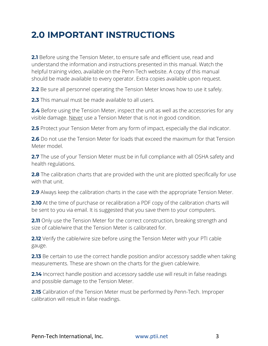## **2.0 IMPORTANT INSTRUCTIONS**

**2.1** Before using the Tension Meter, to ensure safe and efficient use, read and understand the information and instructions presented in this manual. Watch the helpful training video, available on the Penn-Tech website. A copy of this manual should be made available to every operator. Extra copies available upon request.

**2.2** Be sure all personnel operating the Tension Meter knows how to use it safely.

**2.3** This manual must be made available to all users.

**2.4** Before using the Tension Meter, inspect the unit as well as the accessories for any visible damage. Never use a Tension Meter that is not in good condition.

**2.5** Protect your Tension Meter from any form of impact, especially the dial indicator.

**2.6** Do not use the Tension Meter for loads that exceed the maximum for that Tension Meter model.

**2.7** The use of your Tension Meter must be in full compliance with all OSHA safety and health regulations.

**2.8** The calibration charts that are provided with the unit are plotted specifically for use with that unit.

**2.9** Always keep the calibration charts in the case with the appropriate Tension Meter.

**2.10** At the time of purchase or recalibration a PDF copy of the calibration charts will be sent to you via email. It is suggested that you save them to your computers.

**2.11** Only use the Tension Meter for the correct construction, breaking strength and size of cable/wire that the Tension Meter is calibrated for.

**2.12** Verify the cable/wire size before using the Tension Meter with your PTI cable gauge.

**2.13** Be certain to use the correct handle position and/or accessory saddle when taking measurements. These are shown on the charts for the given cable/wire.

**2.14** Incorrect handle position and accessory saddle use will result in false readings and possible damage to the Tension Meter.

**2.15** Calibration of the Tension Meter must be performed by Penn-Tech. Improper calibration will result in false readings.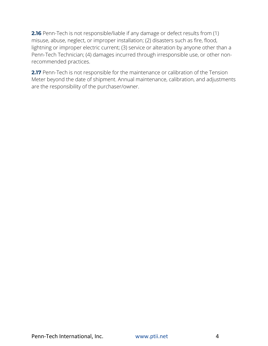**2.16** Penn-Tech is not responsible/liable if any damage or defect results from (1) misuse, abuse, neglect, or improper installation; (2) disasters such as fire, flood, lightning or improper electric current; (3) service or alteration by anyone other than a Penn-Tech Technician; (4) damages incurred through irresponsible use, or other nonrecommended practices.

**2.17** Penn-Tech is not responsible for the maintenance or calibration of the Tension Meter beyond the date of shipment. Annual maintenance, calibration, and adjustments are the responsibility of the purchaser/owner.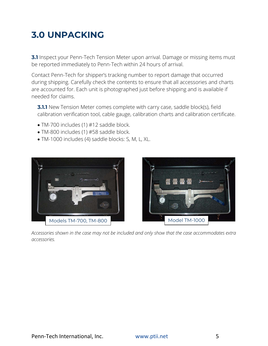# **3.0 UNPACKING**

**3.1** Inspect your Penn-Tech Tension Meter upon arrival. Damage or missing items must be reported immediately to Penn-Tech within 24 hours of arrival.

Contact Penn-Tech for shipper's tracking number to report damage that occurred during shipping. Carefully check the contents to ensure that all accessories and charts are accounted for. Each unit is photographed just before shipping and is available if needed for claims.

**3.1.1** New Tension Meter comes complete with carry case, saddle block(s), field calibration verification tool, cable gauge, calibration charts and calibration certificate.

- TM-700 includes (1) #12 saddle block.
- TM-800 includes (1) #58 saddle block.
- TM-1000 includes (4) saddle blocks: S, M, L, XL.





*Accessories shown in the case may not be included and only show that the case accommodates extra accessories.*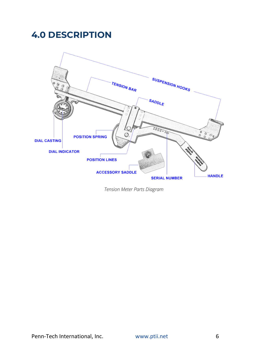### **4.0 DESCRIPTION**



*Tension Meter Parts Diagram*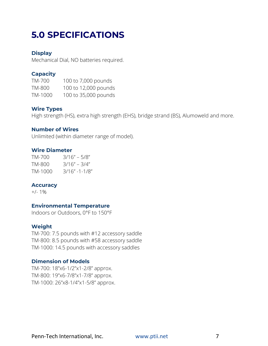# **5.0 SPECIFICATIONS**

### **Display**

Mechanical Dial, NO batteries required.

### **Capacity**

TM-700 100 to 7,000 pounds TM-800 100 to 12,000 pounds TM-1000 100 to 35,000 pounds

### **Wire Types**

High strength (HS), extra high strength (EHS), bridge strand (BS), Alumoweld and more.

### **Number of Wires**

Unlimited (within diameter range of model).

### **Wire Diameter**

TM-700 3/16" – 5/8" TM-800 3/16" – 3/4" TM-1000 3/16" -1-1/8"

### **Accuracy**

 $+/- 1\%$ 

### **Environmental Temperature**

Indoors or Outdoors, 0°F to 150°F

### **Weight**

TM-700: 7.5 pounds with #12 accessory saddle TM-800: 8.5 pounds with #58 accessory saddle TM-1000: 14.5 pounds with accessory saddles

### **Dimension of Models**

TM-700: 18"x6-1/2"x1-2/8" approx. TM-800: 19"x6-7/8"x1-7/8" approx. TM-1000: 26"x8-1/4"x1-5/8" approx.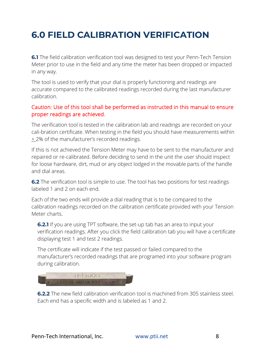# **6.0 FIELD CALIBRATION VERIFICATION**

**6.1** The field calibration verification tool was designed to test your Penn-Tech Tension Meter prior to use in the field and any time the meter has been dropped or impacted in any way.

The tool is used to verify that your dial is properly functioning and readings are accurate compared to the calibrated readings recorded during the last manufacturer calibration.

### Caution: Use of this tool shall be performed as instructed in this manual to ensure proper readings are achieved.

The verification tool is tested in the calibration lab and readings are recorded on your cali-bration certificate. When testing in the field you should have measurements within  $\pm$  2% of the manufacturer's recorded readings.

If this is not achieved the Tension Meter may have to be sent to the manufacturer and repaired or re-calibrated. Before deciding to send in the unit the user should inspect for loose hardware, dirt, mud or any object lodged in the movable parts of the handle and dial areas.

**6.2** The verification tool is simple to use. The tool has two positions for test readings labeled 1 and 2 on each end.

Each of the two ends will provide a dial reading that is to be compared to the calibration readings recorded on the calibration certificate provided with your Tension Meter charts.

**6.2.1** If you are using TPT software, the set-up tab has an area to input your verification readings. After you click the field calibration tab you will have a certificate displaying test 1 and test 2 readings.

The certificate will indicate if the test passed or failed compared to the manufacturer's recorded readings that are programed into your software program during calibration.



**6.2.2** The new field calibration verification tool is machined from 305 stainless steel. Each end has a specific width and is labeled as 1 and 2.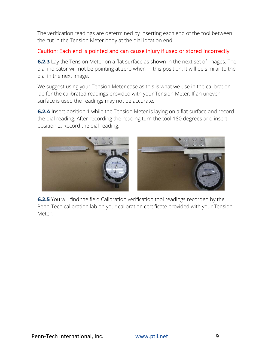The verification readings are determined by inserting each end of the tool between the cut in the Tension Meter body at the dial location end.

### Caution: Each end is pointed and can cause injury if used or stored incorrectly.

**6.2.3** Lay the Tension Meter on a flat surface as shown in the next set of images. The dial indicator will not be pointing at zero when in this position. It will be similar to the dial in the next image.

We suggest using your Tension Meter case as this is what we use in the calibration lab for the calibrated readings provided with your Tension Meter. If an uneven surface is used the readings may not be accurate.

**6.2.4** Insert position 1 while the Tension Meter is laying on a flat surface and record the dial reading. After recording the reading turn the tool 180 degrees and insert position 2. Record the dial reading.



**6.2.5** You will find the field Calibration verification tool readings recorded by the Penn-Tech calibration lab on your calibration certificate provided with your Tension Meter.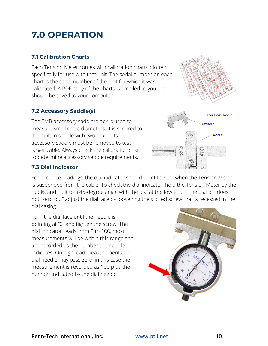# **7.0 OPERATION**

### **7.1 Calibration Charts**

Each Tension Meter comes with calibration charts plotted specifically for use with that unit. The serial number on each chart is the serial number of the unit for which it was calibrated. A PDF copy of the charts is emailed to you and should be saved to your computer.

### **7.2 Accessory Saddle(s)**

The TMB accessory saddle/block is used to measure small cable diameters. It is secured to the built-in saddle with two hex bolts. The accessory saddle must be removed to test larger cable. Always check the calibration chart to determine accessory saddle requirements.

### **7.3 Dial Indicator**

For accurate readings, the dial indicator should point to zero when the Tension Meter is suspended from the cable. To check the dial indicator, hold the Tension Meter by the hooks and tilt it to a 45-degree angle with the dial at the low end. If the dial pin does not "zero out" adjust the dial face by loosening the slotted screw that is recessed in the dial casing.

Turn the dial face until the needle is pointing at "0" and tighten the screw. The dial indicator reads from 0 to 100, most measurements will be within this range and are recorded as the number the needle indicates. On high load measurements the dial needle may pass zero, in this case the measurement is recorded as 100 plus the number indicated by the dial needle.





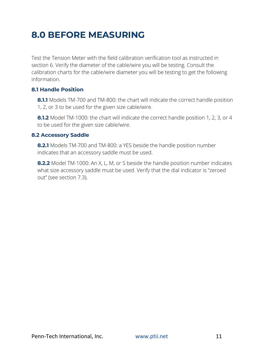### **8.0 BEFORE MEASURING**

Test the Tension Meter with the field calibration verification tool as instructed in section 6. Verify the diameter of the cable/wire you will be testing. Consult the calibration charts for the cable/wire diameter you will be testing to get the following information.

### **8.1 Handle Position**

**8.1.1** Models TM-700 and TM-800: the chart will indicate the correct handle position 1, 2, or 3 to be used for the given size cable/wire.

**8.1.2** Model TM-1000: the chart will indicate the correct handle position 1, 2, 3, or 4 to be used for the given size cable/wire.

### **8.2 Accessory Saddle**

**8.2.1** Models TM-700 and TM-800: a YES beside the handle position number indicates that an accessory saddle must be used.

**8.2.2** Model TM-1000: An X, L, M, or S beside the handle position number indicates what size accessory saddle must be used. Verify that the dial indicator is "zeroed out" (see section 7.3).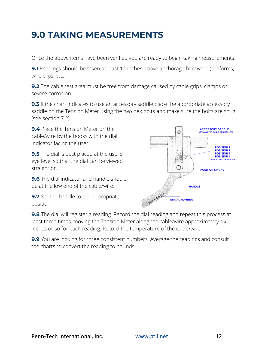### **9.0 TAKING MEASUREMENTS**

Once the above items have been verified you are ready to begin taking measurements.

**9.1** Readings should be taken at least 12 inches above anchorage hardware (preforms, wire clips, etc.).

**9.2** The cable test area must be free from damage caused by cable grips, clamps or severe corrosion.

**9.3** If the chart indicates to use an accessory saddle place the appropriate accessory saddle on the Tension Meter using the two hex bolts and make sure the bolts are snug (see section 7.2).

**9.4** Place the Tension Meter on the cable/wire by the hooks with the dial indicator facing the user.

**9.5** The dial is best placed at the user's eye level so that the dial can be viewed straight on.

**9.6** The dial indicator and handle should be at the low end of the cable/wire.

**9.7** Set the handle to the appropriate position.



**9.8** The dial will register a reading. Record the dial reading and repeat this process at least three times, moving the Tension Meter along the cable/wire approximately six inches or so for each reading. Record the temperature of the cable/wire.

**9.9** You are looking for three consistent numbers. Average the readings and consult the charts to convert the reading to pounds.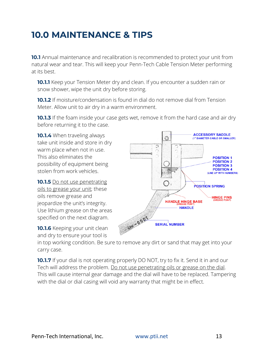### **10.0 MAINTENANCE & TIPS**

**10.1** Annual maintenance and recalibration is recommended to protect your unit from natural wear and tear. This will keep your Penn-Tech Cable Tension Meter performing at its best.

**10.1.1** Keep your Tension Meter dry and clean. If you encounter a sudden rain or snow shower, wipe the unit dry before storing.

**10.1.2** If moisture/condensation is found in dial do not remove dial from Tension Meter. Allow unit to air dry in a warm environment.

**10.1.3** If the foam inside your case gets wet, remove it from the hard case and air dry before returning it to the case.

**10.1.4** When traveling always take unit inside and store in dry warm place when not in use. This also eliminates the possibility of equipment being stolen from work vehicles.

**10.1.5** Do not use penetrating oils to grease your unit; these oils remove grease and jeopardize the unit's integrity. Use lithium grease on the areas specified on the next diagram.

**10.1.6** Keeping your unit clean and dry to ensure your tool is



in top working condition. Be sure to remove any dirt or sand that may get into your carry case.

**10.1.7** If your dial is not operating properly DO NOT, try to fix it. Send it in and our Tech will address the problem. Do not use penetrating oils or grease on the dial. This will cause internal gear damage and the dial will have to be replaced. Tampering with the dial or dial casing will void any warranty that might be in effect.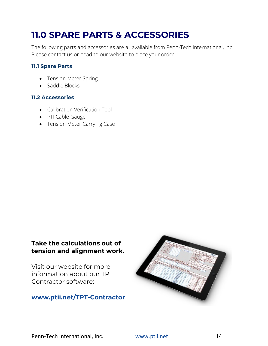## **11.0 SPARE PARTS & ACCESSORIES**

The following parts and accessories are all available from Penn-Tech International, Inc. Please contact us or head to our website to place your order.

### **11.1 Spare Parts**

- Tension Meter Spring
- Saddle Blocks

### **11.2 Accessories**

- Calibration Verification Tool
- PTI Cable Gauge
- Tension Meter Carrying Case

### **Take the calculations out of tension and alignment work.**

Visit our website for more information about our TPT Contractor software:

### **[www.ptii.net/TPT-Contractor](http://www.ptii.net/TPT-Contractor)**

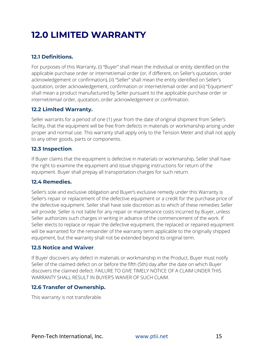# **12.0 LIMITED WARRANTY**

### **12.1 Definitions.**

For purposes of this Warranty, (i) "Buyer" shall mean the individual or entity identified on the applicable purchase order or internet/email order (or, if different, on Seller's quotation, order acknowledgement or confirmation), (ii) "Seller" shall mean the entity identified on Seller's quotation, order acknowledgement, confirmation or internet/email order and (iii) "Equipment" shall mean a product manufactured by Seller pursuant to the applicable purchase order or internet/email order, quotation, order acknowledgement or confirmation.

### **12.2 Limited Warranty.**

Seller warrants for a period of one (1) year from the date of original shipment from Seller's facility, that the equipment will be free from defects in materials or workmanship arising under proper and normal use. This warranty shall apply only to the Tension Meter and shall not apply to any other goods, parts or components.

### **12.3 Inspection**.

If Buyer claims that the equipment is defective in materials or workmanship, Seller shall have the right to examine the equipment and issue shipping instructions for return of the equipment. Buyer shall prepay all transportation charges for such return.

### **12.4 Remedies.**

Seller's sole and exclusive obligation and Buyer's exclusive remedy under this Warranty is Seller's repair or replacement of the defective equipment or a credit for the purchase price of the defective equipment. Seller shall have sole discretion as to which of these remedies Seller will provide. Seller is not liable for any repair or maintenance costs incurred by Buyer, unless Seller authorizes such charges in writing in advance of the commencement of the work. If Seller elects to replace or repair the defective equipment, the replaced or repaired equipment will be warranted for the remainder of the warranty term applicable to the originally shipped equipment, but the warranty shall not be extended beyond its original term.

#### **12.5 Notice and Waiver**.

If Buyer discovers any defect in materials or workmanship in the Product, Buyer must notify Seller of the claimed defect on or before the fifth (5th) day after the date on which Buyer discovers the claimed defect. FAILURE TO GIVE TIMELY NOTICE OF A CLAIM UNDER THIS WARRANTY SHALL RESULT IN BUYER'S WAIVER OF SUCH CLAIM.

### **12.6 Transfer of Ownership.**

This warranty is not transferable.